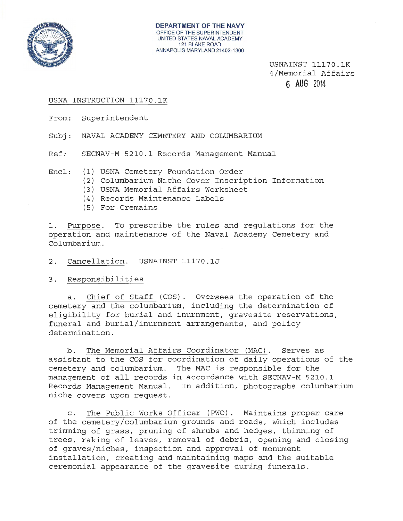

USNAINST 11170.1K 4/Memorial Affairs **6 AUG** 2014

### USNA INSTRUCTION 11170.1K

From: Superintendent

Subj: NAVAL ACADEMY CEMETERY AND COLUMBARIUM

Ref: SECNAV-M 5210.1 Records Management Manual

- Encl: (1) USNA Cemetery Foundation Order
	- (2) Columbarium Niche Cover Inscription Information
	- (3) USNA Memorial Affairs Worksheet
	- (4) Records Maintenance Labels
	- (5) For . Cremains

1. Purpose. To prescribe the rules and regulations for the operation and maintenance of the Naval Academy Cemetery and Columbarium.

2. Cancellation. USNAINST 11170.1J

3. Responsibilities

a. Chief of Staff (COS). Oversees the operation of the cemetery and the columbarium, including the determination of eligibility for burial and inurnment, gravesite reservations, funeral and burial/inurnment arrangements, and policy determination.

b. The Memorial Affairs Coordinator (MAC). Serves as assistant to the COS for coordination of daily operations of the cemetery and columbarium. The MAC is responsible for the management of all records in accordance with SECNAV-M 5210.1 Records Management Manual. In addition, photographs columbarium niche covers upon request.

c. The Public Works Officer (PWO). Maintains proper care of the cemetery/columbarium grounds and roads, which includes trimming of grass, pruning of shrubs and hedges, thinning of trees, raking of leaves, removal of debris, opening and closing of graves/niches, inspection and approval of monument installation, creating and maintaining maps and the suitable ceremonial appearance of the gravesite during funerals.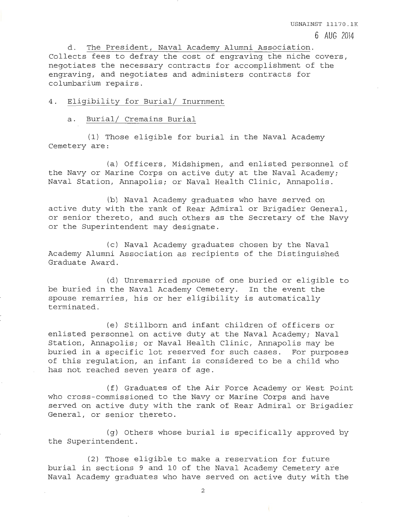d. The President, Naval Academy Alumni Association. Collects fees to defray the cost of engraving the niche covers, negotiates the necessary contracts for accomplishment of the engraving, and negotiates and administers contracts for columbarium repairs .

USNAINST 11170.1K

6 AUG 2014

#### 4. Eligibility for Burial/ Inurnment

#### a. Burial/ Cremains Burial

(1) Those eligible for burial in the Naval Academy Cemetery are:

(a) Officers, Midshipmen, and enlisted personnel of the Navy or Marine Corps on active duty at the Naval Academy; Naval Station, Annapolis; or Naval Health Clinic, Annapolis.

(b) Naval Academy graduates who have served on active duty with the rank of Rear Admiral or Brigadier General, or senior thereto, and such others as the Secretary of the Navy or the Superintendent may designate.

(c) Naval Academy graduates chosen by the Naval Academy Alumni Association as recipients of the Distinguished Graduate Award.

(d) Unremarried spouse of one buried or eligible to be buried in the Naval Academy Cemetery. In the event the spouse remarries, his or her eligibility is automatically terminated.

(e) Stillborn and infant children of officers or enlisted personnel on active duty at the Naval Academy; Naval Station, Annapolis; or Naval Health Clinic, Annapolis may be , buried in a specific lot reserved for such cases. For purposes of this regulation, an infant is considered to be a child who has not reached seven years of age.

(f) Graduates of the Air Force Academy or West Point who cross-commissioned to the Navy or Marine Corps and have served on active duty with the rank of Rear Admiral or Brigadier General, or senior thereto.

(g) Others whose burial is specifically approved by the Superintendent.

(2) Those eligible to make a reservation for future burial in sections 9 and 10 of the Naval Academy Cemetery are Naval Academy graduates who have served on active duty with the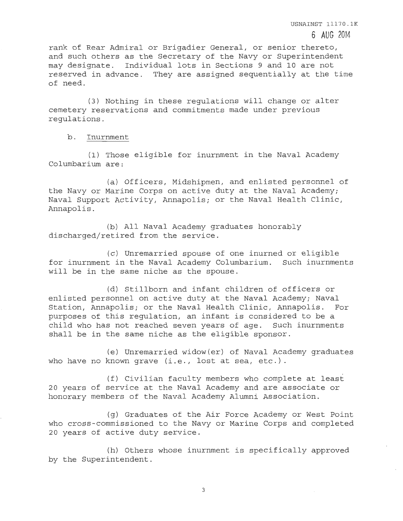rank of Rear Admiral or Brigadier General, or senior thereto, and such others as the Secretary of the Navy or Superintendent may designate. Individual lots in Sections 9 and 10 are not reserved in advance. They are assigned sequentially at the time of need.

(3) Nothing in these regulations will change or alter cemetery reservations and commitments made under previous regulations.

b. Inurnment

(1) Those eligible for inurnment in the Naval Academy Columbarium are:

(a) Officers, Midshipmen, and enlisted personnel of the Navy or Marine Corps on active duty at the Naval Academy; Naval Support Activity, Annapolis; or the Naval Health Clinic, Annapolis.

(b) All Naval Academy graduates honorably discharged/retired from the service.

(c) Unremarried spouse of one inurned or eligible for inurnment in the Naval Academy Columbarium. Such inurnments will be in the same niche as the spouse.

(d) Stillborn and infant children of officers or enlisted personnel on active duty at the Naval Academy; Naval Station, Annapolis; or the Naval Health Clinic, Annapolis. For purposes of this requlation, an infant is considered to be a child who has not reached seven years of age. Such inurnments shall be in the same niche as the eligible sponsor.

(e) Unremarried widow (er) of Naval Academy graduates who have no known grave (i.e., lost at sea, etc.).

(f) Civilian faculty members who complete at least 20 years of service at the Naval Academy and are associate or honorary members of the Naval Academy Alumni Association.

(g) Graduates of the Air Force Academy or West Point who cross-commissioned to the Navy or Marine Corps and completed 20 years of active duty service.

(h) Others whose inurnment is specifically approved by the Superintendent.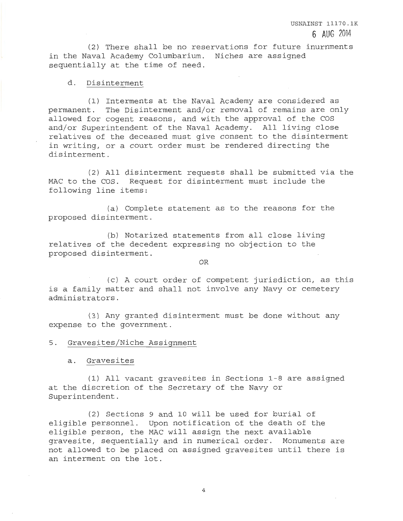(2) There shall be no reservations for future inurnments in the Naval Academy Columbarium. Niches are assigned sequentially at the time of need.

#### d. Disinterment

(1) Interments at the Naval Academy are considered as permanent. The Disinterment and/or removal of remains are only allowed for cogent reasons, and with the approval of the COS and/or Superintendent of the Naval Academy. All living close relatives of the deceased must give consent to the disinterment in writing, or a court order must be rendered directing the disinterment.

(2) All disinterment requests shall be submitted via the MAC to the COS. Request for disinterment must include the following line items:

(a) Complete statement as to the reasons for the proposed disinterment.

(b) Notarized statements from all close living relatives of the decedent expressing no objection to the proposed disinterment.

OR

(c) A court order of competent jurisdiction, as this is a family matter and shall not involve any Navy or cemetery administrators.

(3) Any granted disinterment must be done without any expense to the government.

5. Gravesites/Niche Assignment

a. Gravesites

(1) All vacant gravesites in Sections 1-8 are assigned at the discretion of the Secretary of the Navy or Superintendent.

(2) Sections 9 and 10 will be used for burial of eligible personnel. Upon notification of the death of the eligible person, the MAC will assign the next available gravesite, sequentially and in numerical order. Monuments are not allowed to be placed on assigned gravesites until there is an interment on the lot.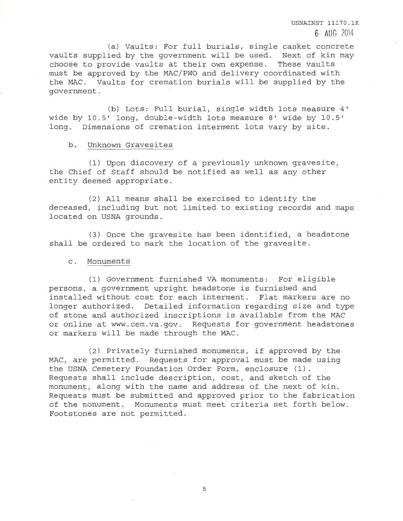(a) Vaults: For full burials, single casket concrete vaults supplied by the government will be used. Next of kin may choose to provide vaults at their own expense. These vaults must be approved by the MAC/PWO and delivery coordinated with the MAC. Vaults for cremation burials will be supplied by the government.

(b) Lots: Full burial, single width lots measure 4' wide by 10.5' long, double-width lots measure 8' wide by 10.5' long. Dimensions of cremation interment lots vary by site.

## b. Unknown Gravesites

(1) Upon discovery of a previously unknown gravesite, the Chief of Staff should be notified as well as any other entity deemed appropriate.

(2) All means shall be exercised to identify the deceased, including but not limited to existing records and maps located on USNA grounds.

(3) Once the gravesite has been identified, a headstone shall be ordered to mark the location of the gravesite.

### c. Monuments

(1) Government furnished VA monuments: For eligible persons, a government upright headstone is furnished and installed without cost for each interment. Flat markers are no longer authorized. Detailed information regarding size and type of stone and authorized inscriptions is available from the MAC or online at www.cem.va.gov. Requests for government headstones or markers will be made through the MAC.

(2) Privately furnished monuments, if approved by the MAC, are permitted. Requests for approval must be made using the USNA Cemetery Foundation Order Form, enclosure (1). Requests shall include description, cost, and sketch of the monument, along with the name and address of the next of kin. Requests must be submitted and approved prior to the fabrication of the monument. Monuments must meet criteria set forth below. Footstones are not permitted.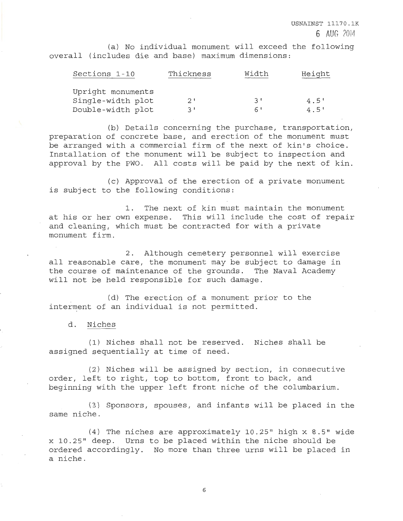(a) No individual monument will exceed the following overall (includes die and base) maximum dimensions:

| Sections 1-10     | Thickness | Width    | Height |
|-------------------|-----------|----------|--------|
| Upright monuments |           |          |        |
| Single-width plot | 2'        | <b>R</b> | 4.5'   |
| Double-width plot | マー        | 61       | 4.5'   |

(b) Details concerning the purchase, transportation, preparation of concrete base, and erection of the monument must be arranged with a commercial firm of the next of kin's choice. Installation of the monument will be subject to inspection and approval by the PWO. All costs will be paid by the next of kin.

(c) Approval of the erection of a private monument is subject to the following conditions:

1. The next of kin must maintain the monument at his or her own expense. This will include the cost of repair and cleaning, which must be contracted for with a private monument firm.

2. Although cemetery personnel will exercise all reasonable care, the monument may be subject to damage in the course of maintenance of the grounds. The Naval Academy will not be held responsible for such damage.

(d) The erection of a monument prior to the interment of an individual is not permitted.

d. Niches

(1) Niches shall not be reserved. Niches shall be assigned sequentially at time of need.

(2) Niches will be assigned by section, in consecutive order, left to right, top to bottom, front to back, and beginning with the upper left front niche of the columbarium.

(3) Sponsors, spouses, and infants will be placed in the same niche.

(4) The niches are approximately 10.25" high x 8.5" wide x 10.25" deep. Urns to be placed within the niche should be ordered accordingly. No more than three urns will be placed in a niche.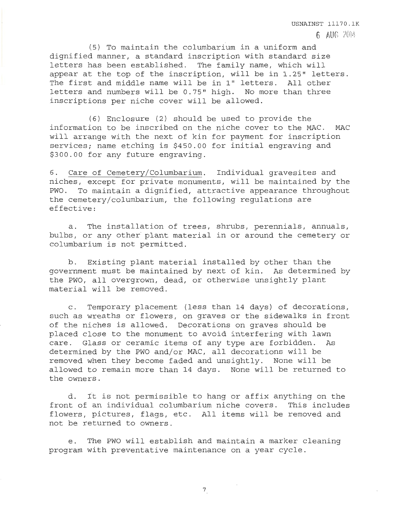(5) To maintain the columbarium in a uniform and dignified manner, a standard inscription with standard size letters has been established. The family name, which will appear at the top of the inscription, will be in 1.25" letters. The first and middle name will be in 1" letters. All other letters and numbers will be 0.75" high. No more than three inscriptions per niche cover will be allowed.

USNAINST 11170.1K

6 AUG 2014

(6) Enclosure (2) should be used to provide the information to be inscribed on the niche cover to the MAC. MAC will arrange with the next of kin for payment for inscription services; name etching is \$450.00 for initial engraving and \$300.00 for any future engraving.

6. Care of Cemetery/Columbarium. Individual gravesites and niches, except for private monuments, will be maintained by the PWO. To maintain a dignified, attractive appearance throughout the cemetery/columbarium, the following regulations are effective:

a. The installation of trees, shrubs, perennials, annuals , bulbs, or any other plant material in or around the cemetery or columbarium is not permitted.

b. Existing plant material installed by other than the government must be maintained by next of kin. As determined by the PWO, all overgrown, dead, or otherwise unsightly plant material will be removed.

c. Temporary placement (less than 14 days) of decorations, such as wreaths or flowers, on graves or the sidewalks in front of the niches is allowed. Decorations on graves should be placed close to the monument to avoid interfering with lawn care. Glass or ceramic items of any type are forbidden. As determined by the PWO and/or MAC, all decorations will be removed when they become faded and unsightly. None will be allowed to remain more than 14 days. None will be returned to the owners.

d. It is not permissible to hang or affix anything on the front of an individual columbarium niche covers. This includes flowers, pictures, flags, etc. All items will be removed and not be returned to owners.

e. The PWO will establish and maintain a marker cleaning program with preventative maintenance on a year cycle.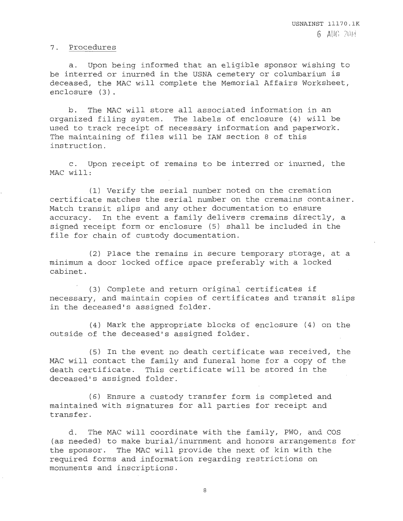### 7. Procedures

a. Upon being informed that an eligible sponsor wishing to be interred or inurned in the USNA cemetery or columbarium is deceased, the MAC will complete the Memorial Affairs Worksheet, enclosure (3).

b. The MAC will store all associated information in an organized filing system. The labels of enclosure (4) will be used to track receipt of necessary information and paperwork. The maintaining of files will be IAW section 8 of this instruction.

c. Upon receipt of remains to be interred or inurned, the MAC will:

(1) Verify the serial number noted on the cremation certificate matches the serial number on the cremains container. Match transit slips and any other documentation to ensure accuracy. In the event a family delivers cremains directly, a signed receipt form or enclosure (5) shall be included in the file for chain of custody documentation.

(2) Place the remains in secure temporary storage, at a minimum a door locked office space preferably with a locked cabinet.

(3) Complete and return original certificates if necessary, and maintain copies of certificates and transit slips in the deceased's assigned folder.

(4) Mark the appropriate blocks of enclosure (4) on the outside of the deceased's assigned folder.

(5) In the event no death certificate was received, the MAC will contact the family and funeral home for a copy of the death certificate. This certificate will be stored in the deceased's assigned folder.

(6) Ensure a custody trans£er form is completed and maintained with signatures for all parties for receipt and transfer.

d. The MAC will coordinate with the family, PWO, and COS (as needed) to make burial/inurnment and honors arrangements for the sponsor. The MAC will provide the next of kin with the required forms and .information regarding restrictions on monuments and inscriptions.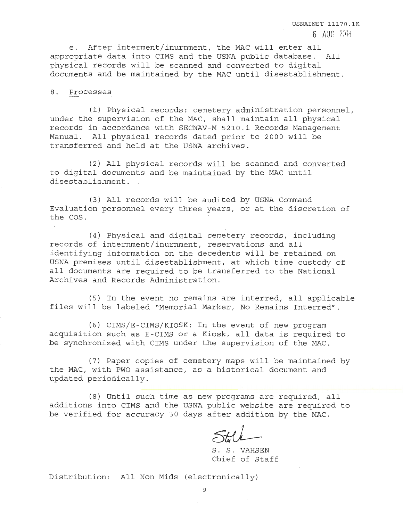e. After interment/inurnment, the MAC will enter all appropriate data into CIMS and the USNA public database. All physical records will be scanned and converted to digital documents and be maintained by the MAC until disestablishment.

#### 8. Processes

(1) Physical records: cemetery administration personnel , under the supervision of the MAC, shall maintain all physical records in accordance with SECNAV-M 5210.1 Records Management Manual. All physical records dated prior to 2000 will be transferred and held at the USNA archives.

(2) All physical records will be scanned' and converted to digital documents and be maintained by the MAC until disestablishment.

(3) All records will be audited by USNA Command Evaluation personnel every three years, or at the discretion of the COS.

(4) Physical and digital cemetery records, including records of internment/inurnment , reservations and all identifying information on the decedents will be retained on USNA premises until disestablishment, at which time custody of all documents are required to be transferred to the National Archives and Records Administration.

(5) In the event no remains are interred, all applicable files will be labeled "Memorial Marker, No Remains Interred".

(6) CIMS/E-CIMS/KIOSK: In the event of new program acquisition such as E-CIMS or a Kiosk, all data is required to be synchronized with CIMS under the supervision of the MAC.

(7) Paper copies of cemetery maps will be maintained by the MAC, with PWO assistance, as a historical document and updated periodically.

(8) Until such time as new programs are required, all additions into CIMS and the USNA public website are required to be verified for accuracy 30 days after addition by the MAC.

S. S. VAHSEN Chief of Staff

Distribution: All Non Mids (electronically)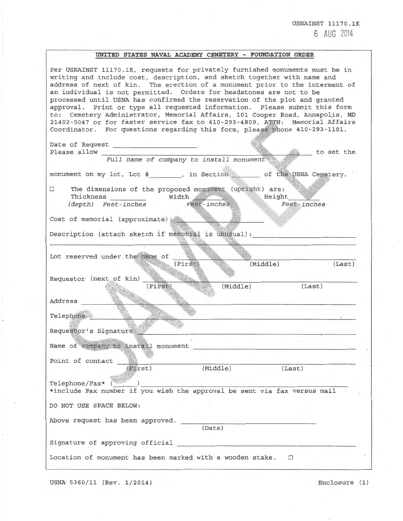USNAINST 11170.1K 6 AUG 2014

# **UNITED STATES NAVAL ACADEMY CEMETERY - FOUNDATION ORDER**

| Per USNAINST 11170.1K, requests for privately furnished monuments must be in<br>writing and include cost, description, and sketch together with name and<br>address of next of kin. The erection of a monument prior to the interment of<br>an individual is not permitted. Orders for headstones are not to be<br>processed until USNA has confirmed the reservation of the plot and granted<br>approval. Print or type all requested information. Please submit this form<br>to: Cemetery Administrator, Memorial Affairs, 101 Cooper Road, Annapolis, MD<br>21402-5047 or for faster service fax to 410-293-4809, ATTN: Memorial Affairs<br>Coordinator. For questions regarding this form, please phone 410-293-1101. |
|---------------------------------------------------------------------------------------------------------------------------------------------------------------------------------------------------------------------------------------------------------------------------------------------------------------------------------------------------------------------------------------------------------------------------------------------------------------------------------------------------------------------------------------------------------------------------------------------------------------------------------------------------------------------------------------------------------------------------|
| to set the<br>Please allow<br>Full name of company to install monument                                                                                                                                                                                                                                                                                                                                                                                                                                                                                                                                                                                                                                                    |
| monument on my lot, Lot #, in Section of the USNA Cemetery.                                                                                                                                                                                                                                                                                                                                                                                                                                                                                                                                                                                                                                                               |
| The dimensions of the proposed monument (upright) are:<br>$\Box$<br>Height<br>Thickness Width<br>(depth) Feet-inches Feet-inches<br>Feet-inches<br>an a                                                                                                                                                                                                                                                                                                                                                                                                                                                                                                                                                                   |
| Cost of memorial (approximate) :                                                                                                                                                                                                                                                                                                                                                                                                                                                                                                                                                                                                                                                                                          |
| Description (attach sketch if memorial is unusual):                                                                                                                                                                                                                                                                                                                                                                                                                                                                                                                                                                                                                                                                       |
| Lot reserved under the name of<br>(Middle)<br>(First)<br>(Last)                                                                                                                                                                                                                                                                                                                                                                                                                                                                                                                                                                                                                                                           |
| Requestor (next of kin)<br>(First)<br>(Last)<br>(Middle)<br>Address                                                                                                                                                                                                                                                                                                                                                                                                                                                                                                                                                                                                                                                       |
| Telephone<br>the contract of the contract of the contract of the contract of the contract of the                                                                                                                                                                                                                                                                                                                                                                                                                                                                                                                                                                                                                          |
| Requestor's Signature<br>Name of company to install monument                                                                                                                                                                                                                                                                                                                                                                                                                                                                                                                                                                                                                                                              |
| Point of contact<br>(Middle)<br>$(F)$ rst)<br>(Last)                                                                                                                                                                                                                                                                                                                                                                                                                                                                                                                                                                                                                                                                      |
| Telephone/Fax* (<br>the property of the company of the company of the company of the company of the company of the company of the company of the company of the company of the company of the company of the company of the company of the company<br>*include Fax number if you wish the approval be sent via fax versus mail                                                                                                                                                                                                                                                                                                                                                                                            |
| DO NOT USE SPACE BELOW:                                                                                                                                                                                                                                                                                                                                                                                                                                                                                                                                                                                                                                                                                                   |
| Above request has been approved.<br><u> 1989 - Antonio Alemania, prima prima prima prima prima prima prima prima prima prima prima prima prima prima</u><br>(Date)                                                                                                                                                                                                                                                                                                                                                                                                                                                                                                                                                        |
|                                                                                                                                                                                                                                                                                                                                                                                                                                                                                                                                                                                                                                                                                                                           |
| Location of monument has been marked with a wooden stake. $\Box$                                                                                                                                                                                                                                                                                                                                                                                                                                                                                                                                                                                                                                                          |

USNA 5360/11 (Rev. 1/2014) Enclosure (1)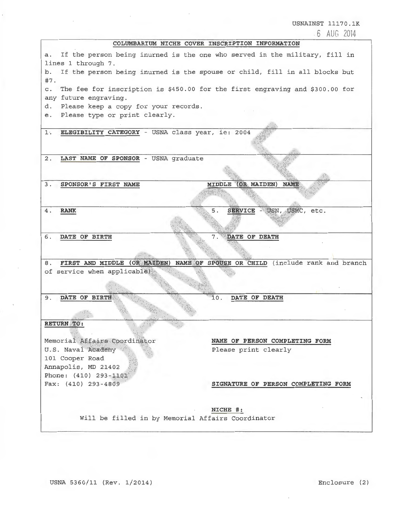USNAINST 11170.1K

. 6 AlJG 2014

## **COLUMBARIUM NICHE COVER INSCRIPTION INFORMATION**

a. If the person being inurned is the one who served in the military, fill in lines 1 through 7. b. If the person being inurned is the spouse or child, fill in all blocks but #7. c. The fee for inscription is \$450.00 for the first engraving and \$300.00 for any future engraving. d. Please keep a copy for your records. e. Please type or print clearly. 1. **ELEGIBILITY CATEGORY** - USNA class year, ie: 2004 2. **LAST NAME OF SPONSOR** - USNA graduate MIDDLE (OR MAIDEN) NAME 3. **SPONSOR'S FIRST NAME**  SERVICE - USN, USMC, etc. 4. **RANK**  5. 6. **DATE OF BIRTH**  DATE OF DEATH 8. FIRST AND MIDDLE (OR MAIDEN) NAME OF SPOUSE OR CHILD (include rank and branch of service when applicable) 9. **DATE OF BIRTH** 10. **DATE OF DEATH**  RETURN TO: Memorial Affairs Coordinator **NAME OF PERSON COMPLETING FORM**  U.S. Naval Academy Please print clearly 101 Cooper Road Annapolis, MD 21402 Phone: (410) 293-1101 Fax: (410) 293-4809 **SIGNATURE OF PERSON COMPLETING FORM NICHE** #: Will be filled in by Memorial Affairs Coordinator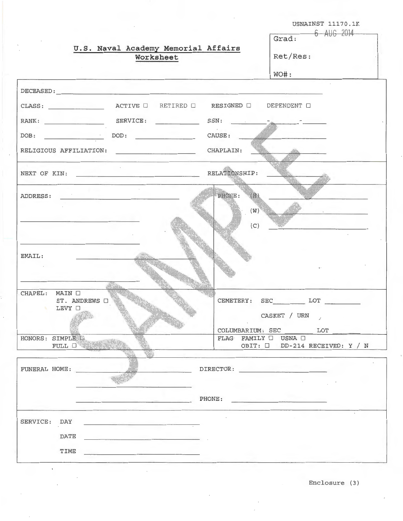|                                                                                                                                                                                                                                       | USNAINST 11170.1K                                                                                                                                                                                                                                                                                                      |
|---------------------------------------------------------------------------------------------------------------------------------------------------------------------------------------------------------------------------------------|------------------------------------------------------------------------------------------------------------------------------------------------------------------------------------------------------------------------------------------------------------------------------------------------------------------------|
|                                                                                                                                                                                                                                       | Grad: 6 AUG 2014                                                                                                                                                                                                                                                                                                       |
| U.S. Naval Academy Memorial Affairs                                                                                                                                                                                                   |                                                                                                                                                                                                                                                                                                                        |
| Worksheet                                                                                                                                                                                                                             | Ret/Res:                                                                                                                                                                                                                                                                                                               |
|                                                                                                                                                                                                                                       | $WO#$ :                                                                                                                                                                                                                                                                                                                |
| DECEASED: Network and the second state of the second state of the second state of the second state of the second state of the second state of the second state of the second state of the second state of the second state of         |                                                                                                                                                                                                                                                                                                                        |
|                                                                                                                                                                                                                                       | DEPENDENT O                                                                                                                                                                                                                                                                                                            |
| RANK: SERVICE:                                                                                                                                                                                                                        | $SSN:$ $\frac{1}{2}$ $\frac{1}{2}$ $\frac{1}{2}$ $\frac{1}{2}$ $\frac{1}{2}$ $\frac{1}{2}$ $\frac{1}{2}$ $\frac{1}{2}$ $\frac{1}{2}$ $\frac{1}{2}$ $\frac{1}{2}$ $\frac{1}{2}$ $\frac{1}{2}$ $\frac{1}{2}$ $\frac{1}{2}$ $\frac{1}{2}$ $\frac{1}{2}$ $\frac{1}{2}$ $\frac{1}{2}$ $\frac{1}{2}$ $\frac{1}{2}$ $\frac{1$ |
| $\texttt{DOD:}\quad \overbrace{\phantom{aaaaaaa}}$<br>DOB:                                                                                                                                                                            | CAUSE:                                                                                                                                                                                                                                                                                                                 |
|                                                                                                                                                                                                                                       |                                                                                                                                                                                                                                                                                                                        |
|                                                                                                                                                                                                                                       | RELATIONSHIP:                                                                                                                                                                                                                                                                                                          |
| ADDRESS: ANDRESS:                                                                                                                                                                                                                     | PHONE:<br>(H)                                                                                                                                                                                                                                                                                                          |
|                                                                                                                                                                                                                                       | (W)<br>The process of the control of the                                                                                                                                                                                                                                                                               |
|                                                                                                                                                                                                                                       | (C)                                                                                                                                                                                                                                                                                                                    |
| EMAIL:                                                                                                                                                                                                                                |                                                                                                                                                                                                                                                                                                                        |
|                                                                                                                                                                                                                                       |                                                                                                                                                                                                                                                                                                                        |
|                                                                                                                                                                                                                                       |                                                                                                                                                                                                                                                                                                                        |
| CHAPEL: MAIN $\square$<br>ST. ANDREWS O                                                                                                                                                                                               | SEC LOT<br>CEMETERY:                                                                                                                                                                                                                                                                                                   |
| LEVY O                                                                                                                                                                                                                                | CASKET / URN                                                                                                                                                                                                                                                                                                           |
|                                                                                                                                                                                                                                       | COLUMBARIUM: SEC LOT                                                                                                                                                                                                                                                                                                   |
| HONORS: SIMPLE                                                                                                                                                                                                                        | FLAG FAMILY O USNA O                                                                                                                                                                                                                                                                                                   |
| FULL O                                                                                                                                                                                                                                | OBIT: $\square$ DD-214 RECEIVED: Y / N                                                                                                                                                                                                                                                                                 |
|                                                                                                                                                                                                                                       |                                                                                                                                                                                                                                                                                                                        |
| FUNERAL HOME:                                                                                                                                                                                                                         | DIRECTOR:                                                                                                                                                                                                                                                                                                              |
|                                                                                                                                                                                                                                       |                                                                                                                                                                                                                                                                                                                        |
|                                                                                                                                                                                                                                       | PHONE:<br><u>and the company of the company of the company of the company of the company of the company of the company of the company of the company of the company of the company of the company of the company of the company of the com</u>                                                                         |
| SERVICE: DAY                                                                                                                                                                                                                          |                                                                                                                                                                                                                                                                                                                        |
| DATE<br>and the company of the company of                                                                                                                                                                                             |                                                                                                                                                                                                                                                                                                                        |
| TIME<br>the company of the company of the company of the company of the company of the company of the company of the company of the company of the company of the company of the company of the company of the company of the company |                                                                                                                                                                                                                                                                                                                        |

Enclosure (3)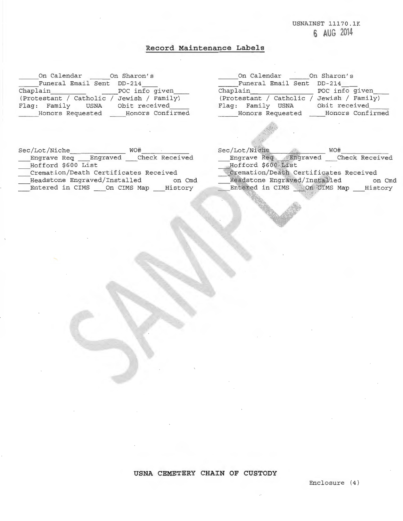USNAINST 11170.1K **6 AUG 2014** 

# **Record Maintenance Labels**

On Calendar Funeral Email Sent Chaplain \_\_\_\_\_\_\_\_ (Protestant / Catholic Flag: Family USNA Honors Requested On Sharon's DD- 214 POC info given\_\_\_\_ / Jewish / Family) Obit received Honors Confirmed

| On Calendar               | On Sharon's      |
|---------------------------|------------------|
| Funeral Email Sent DD-214 |                  |
| Chaplain                  | POC info given   |
| (Protestant / Catholic /  | Jewish / Family) |
| Flag: Family USNA         | Obit received    |
| Honors Requested          | Honors Confirmed |

| Sec/Lot/Niche                         | WO#                    |
|---------------------------------------|------------------------|
| Engraved<br>Engrave Req               | Check Received         |
| Hofford \$600 List                    |                        |
| Cremation/Death Certificates Received |                        |
| Headstone Engraved/Installed          | on Cmd                 |
| Entered in CIMS                       | History<br>On CIMS Map |

| Sec/Lot/Niche                         | WO#            |
|---------------------------------------|----------------|
| Engraved<br>Engrave Red               | Check Received |
| Hofford \$600 List                    |                |
| Cremation/Death Certificates Received |                |
| Headstone Engraved/Installed          | on Cmd         |
| On CIMS Map<br>Entered in CIMS        | History        |